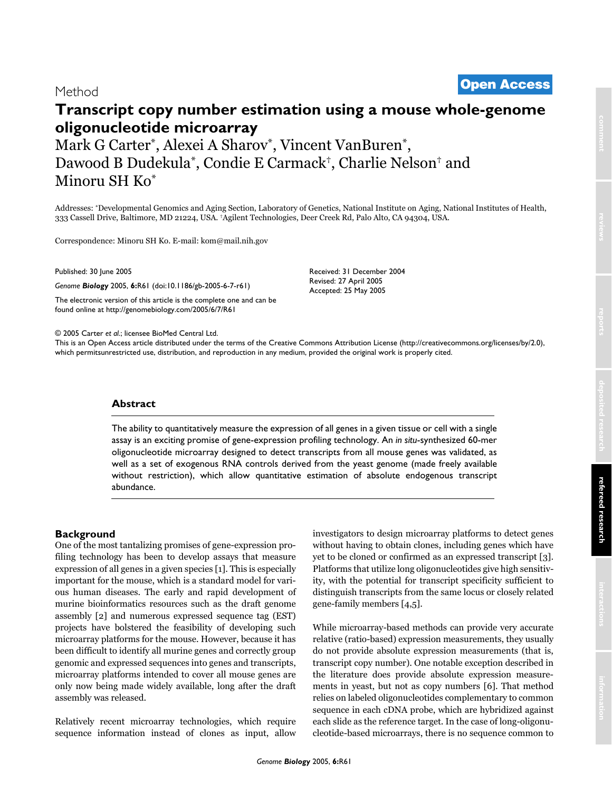# <sup>2005</sup> Carter et al. Volume 6, Issue 7, Article R61 **[Open Access](http://www.biomedcentral.com/info/about/charter/)** Method

## **Transcript copy number estimation using a mouse whole-genome oligonucleotide microarray**

Mark G Carter\*, Alexei A Sharov\*, Vincent VanBuren\*, Dawood B Dudekula\*, Condie E Carmack†, Charlie Nelson† and Minoru SH Ko\*

Addresses: \*Developmental Genomics and Aging Section, Laboratory of Genetics, National Institute on Aging, National Institutes of Health, 333 Cassell Drive, Baltimore, MD 21224, USA. †Agilent Technologies, Deer Creek Rd, Palo Alto, CA 94304, USA.

> Received: 31 December 2004 Revised: 27 April 2005 Accepted: 25 May 2005

Correspondence: Minoru SH Ko. E-mail: kom@mail.nih.gov

Published: 30 June 2005

*Genome Biology* 2005, **6:**R61 (doi:10.1186/gb-2005-6-7-r61)

[The electronic version of this article is the complete one and can be](http://genomebiology.com/2005/6/7/R61)  found online at http://genomebiology.com/2005/6/7/R61

© 2005 Carter *et al*.; licensee BioMed Central Ltd.

[This is an Open Access article distributed under the terms of the Creative Commons Attribution License \(http://creativecommons.org/licenses/by/2.0\),](http://creativecommons.org/licenses/by/2.0)  which permitsunrestricted use, distribution, and reproduction in any medium, provided the original work is properly cited.

#### **Abstract**

The ability to quantitatively measure the expression of all genes in a given tissue or cell with a single assay is an exciting promise of gene-expression profiling technology. An *in situ*-synthesized 60-mer oligonucleotide microarray designed to detect transcripts from all mouse genes was validated, as well as a set of exogenous RNA controls derived from the yeast genome (made freely available without restriction), which allow quantitative estimation of absolute endogenous transcript abundance.

### **Background**

One of the most tantalizing promises of gene-expression profiling technology has been to develop assays that measure expression of all genes in a given species [1]. This is especially important for the mouse, which is a standard model for various human diseases. The early and rapid development of murine bioinformatics resources such as the draft genome assembly [2] and numerous expressed sequence tag (EST) projects have bolstered the feasibility of developing such microarray platforms for the mouse. However, because it has been difficult to identify all murine genes and correctly group genomic and expressed sequences into genes and transcripts, microarray platforms intended to cover all mouse genes are only now being made widely available, long after the draft assembly was released.

Relatively recent microarray technologies, which require sequence information instead of clones as input, allow investigators to design microarray platforms to detect genes without having to obtain clones, including genes which have yet to be cloned or confirmed as an expressed transcript [3]. Platforms that utilize long oligonucleotides give high sensitivity, with the potential for transcript specificity sufficient to distinguish transcripts from the same locus or closely related gene-family members [4,5].

While microarray-based methods can provide very accurate relative (ratio-based) expression measurements, they usually do not provide absolute expression measurements (that is, transcript copy number). One notable exception described in the literature does provide absolute expression measurements in yeast, but not as copy numbers [6]. That method relies on labeled oligonucleotides complementary to common sequence in each cDNA probe, which are hybridized against each slide as the reference target. In the case of long-oligonucleotide-based microarrays, there is no sequence common to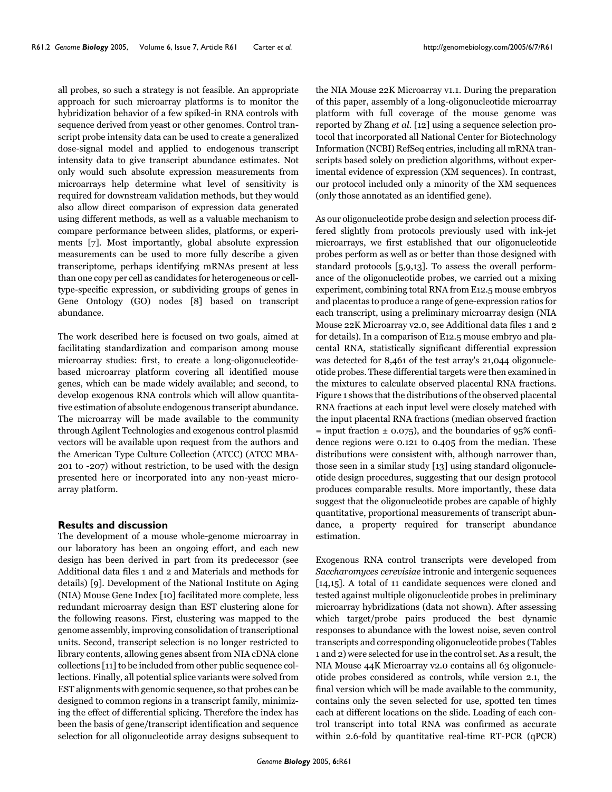all probes, so such a strategy is not feasible. An appropriate approach for such microarray platforms is to monitor the hybridization behavior of a few spiked-in RNA controls with sequence derived from yeast or other genomes. Control transcript probe intensity data can be used to create a generalized dose-signal model and applied to endogenous transcript intensity data to give transcript abundance estimates. Not only would such absolute expression measurements from microarrays help determine what level of sensitivity is required for downstream validation methods, but they would also allow direct comparison of expression data generated using different methods, as well as a valuable mechanism to compare performance between slides, platforms, or experiments [7]. Most importantly, global absolute expression measurements can be used to more fully describe a given transcriptome, perhaps identifying mRNAs present at less than one copy per cell as candidates for heterogeneous or celltype-specific expression, or subdividing groups of genes in Gene Ontology (GO) nodes [8] based on transcript abundance.

The work described here is focused on two goals, aimed at facilitating standardization and comparison among mouse microarray studies: first, to create a long-oligonucleotidebased microarray platform covering all identified mouse genes, which can be made widely available; and second, to develop exogenous RNA controls which will allow quantitative estimation of absolute endogenous transcript abundance. The microarray will be made available to the community through Agilent Technologies and exogenous control plasmid vectors will be available upon request from the authors and the American Type Culture Collection (ATCC) (ATCC MBA-201 to -207) without restriction, to be used with the design presented here or incorporated into any non-yeast microarray platform.

#### **Results and discussion**

The development of a mouse whole-genome microarray in our laboratory has been an ongoing effort, and each new design has been derived in part from its predecessor (see Additional data files 1 and 2 and Materials and methods for details) [9]. Development of the National Institute on Aging (NIA) Mouse Gene Index [10] facilitated more complete, less redundant microarray design than EST clustering alone for the following reasons. First, clustering was mapped to the genome assembly, improving consolidation of transcriptional units. Second, transcript selection is no longer restricted to library contents, allowing genes absent from NIA cDNA clone collections [11] to be included from other public sequence collections. Finally, all potential splice variants were solved from EST alignments with genomic sequence, so that probes can be designed to common regions in a transcript family, minimizing the effect of differential splicing. Therefore the index has been the basis of gene/transcript identification and sequence selection for all oligonucleotide array designs subsequent to

the NIA Mouse 22K Microarray v1.1. During the preparation of this paper, assembly of a long-oligonucleotide microarray platform with full coverage of the mouse genome was reported by Zhang *et al*. [12] using a sequence selection protocol that incorporated all National Center for Biotechnology Information (NCBI) RefSeq entries, including all mRNA transcripts based solely on prediction algorithms, without experimental evidence of expression (XM sequences). In contrast, our protocol included only a minority of the XM sequences (only those annotated as an identified gene).

As our oligonucleotide probe design and selection process differed slightly from protocols previously used with ink-jet microarrays, we first established that our oligonucleotide probes perform as well as or better than those designed with standard protocols [5,9,13]. To assess the overall performance of the oligonucleotide probes, we carried out a mixing experiment, combining total RNA from E12.5 mouse embryos and placentas to produce a range of gene-expression ratios for each transcript, using a preliminary microarray design (NIA Mouse 22K Microarray v2.0, see Additional data files 1 and 2 for details). In a comparison of E12.5 mouse embryo and placental RNA, statistically significant differential expression was detected for 8,461 of the test array's 21,044 oligonucleotide probes. These differential targets were then examined in the mixtures to calculate observed placental RNA fractions. Figure [1](#page-2-0) shows that the distributions of the observed placental RNA fractions at each input level were closely matched with the input placental RNA fractions (median observed fraction  $=$  input fraction  $\pm$  0.075), and the boundaries of 95% confidence regions were 0.121 to 0.405 from the median. These distributions were consistent with, although narrower than, those seen in a similar study [13] using standard oligonucleotide design procedures, suggesting that our design protocol produces comparable results. More importantly, these data suggest that the oligonucleotide probes are capable of highly quantitative, proportional measurements of transcript abundance, a property required for transcript abundance estimation.

Exogenous RNA control transcripts were developed from *Saccharomyces cerevisiae* intronic and intergenic sequences [14,15]. A total of 11 candidate sequences were cloned and tested against multiple oligonucleotide probes in preliminary microarray hybridizations (data not shown). After assessing which target/probe pairs produced the best dynamic responses to abundance with the lowest noise, seven control transcripts and corresponding oligonucleotide probes (Tables [1](#page-3-0) and [2](#page-3-1)) were selected for use in the control set. As a result, the NIA Mouse 44K Microarray v2.0 contains all 63 oligonucleotide probes considered as controls, while version 2.1, the final version which will be made available to the community, contains only the seven selected for use, spotted ten times each at different locations on the slide. Loading of each control transcript into total RNA was confirmed as accurate within 2.6-fold by quantitative real-time RT-PCR (qPCR)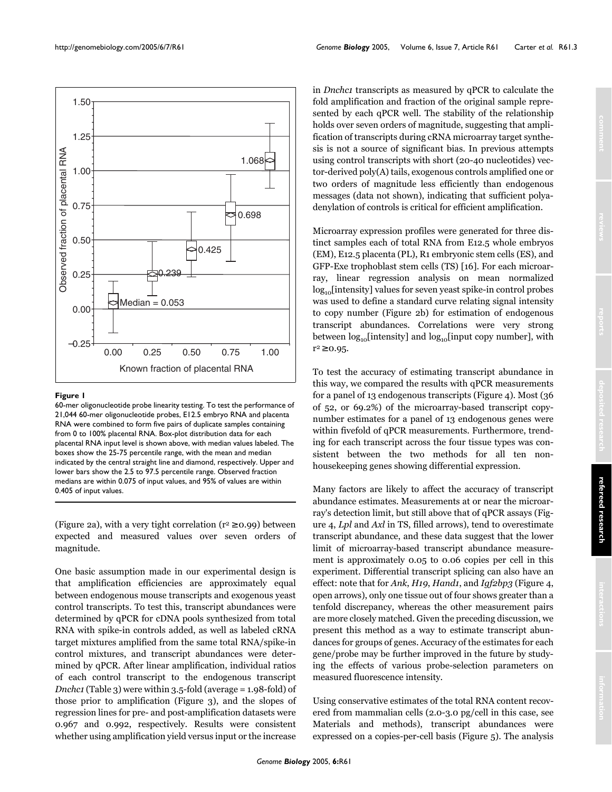<span id="page-2-0"></span>

#### **Figure I**

60-mer oligonucleotide probe linearity testing. To test the performance of 21,044 60-mer oligonucleotide probes, E12.5 embryo RNA and placenta RNA were combined to form five pairs of duplicate samples containing from 0 to 100% placental RNA. Box-plot distribution data for each placental RNA input level is shown above, with median values labeled. The boxes show the 25-75 percentile range, with the mean and median indicated by the central straight line and diamond, respectively. Upper and lower bars show the 2.5 to 97.5 percentile range. Observed fraction medians are within 0.075 of input values, and 95% of values are within 0.405 of input values.

(Figure 2a), with a very tight correlation ( $r^2 \ge 0.99$ ) between expected and measured values over seven orders of magnitude.

One basic assumption made in our experimental design is that amplification efficiencies are approximately equal between endogenous mouse transcripts and exogenous yeast control transcripts. To test this, transcript abundances were determined by qPCR for cDNA pools synthesized from total RNA with spike-in controls added, as well as labeled cRNA target mixtures amplified from the same total RNA/spike-in control mixtures, and transcript abundances were determined by qPCR. After linear amplification, individual ratios of each control transcript to the endogenous transcript *Dnchc1* (Table [3](#page-7-0)) were within 3.5-fold (average = 1.98-fold) of those prior to amplification (Figure 3), and the slopes of regression lines for pre- and post-amplification datasets were 0.967 and 0.992, respectively. Results were consistent whether using amplification yield versus input or the increase

in *Dnchc1* transcripts as measured by qPCR to calculate the fold amplification and fraction of the original sample represented by each qPCR well. The stability of the relationship holds over seven orders of magnitude, suggesting that amplification of transcripts during cRNA microarray target synthesis is not a source of significant bias. In previous attempts using control transcripts with short (20-40 nucleotides) vector-derived poly(A) tails, exogenous controls amplified one or two orders of magnitude less efficiently than endogenous messages (data not shown), indicating that sufficient polyadenylation of controls is critical for efficient amplification.

Microarray expression profiles were generated for three distinct samples each of total RNA from E12.5 whole embryos (EM), E12.5 placenta (PL), R1 embryonic stem cells (ES), and GFP-Exe trophoblast stem cells (TS) [16]. For each microarray, linear regression analysis on mean normalized log<sub>10</sub>[intensity] values for seven yeast spike-in control probes was used to define a standard curve relating signal intensity to copy number (Figure 2b) for estimation of endogenous transcript abundances. Correlations were very strong between  $log_{10}$ [intensity] and  $log_{10}$ [input copy number], with  $r^2 \ge 0.95$ .

To test the accuracy of estimating transcript abundance in this way, we compared the results with qPCR measurements for a panel of 13 endogenous transcripts (Figure 4). Most (36 of 52, or 69.2%) of the microarray-based transcript copynumber estimates for a panel of 13 endogenous genes were within fivefold of qPCR measurements. Furthermore, trending for each transcript across the four tissue types was consistent between the two methods for all ten nonhousekeeping genes showing differential expression.

Many factors are likely to affect the accuracy of transcript abundance estimates. Measurements at or near the microarray's detection limit, but still above that of qPCR assays (Figure 4, *Lpl* and *Axl* in TS, filled arrows), tend to overestimate transcript abundance, and these data suggest that the lower limit of microarray-based transcript abundance measurement is approximately 0.05 to 0.06 copies per cell in this experiment. Differential transcript splicing can also have an effect: note that for *Ank*, *H19*, *Hand1*, and *Igf2bp3* (Figure 4, open arrows), only one tissue out of four shows greater than a tenfold discrepancy, whereas the other measurement pairs are more closely matched. Given the preceding discussion, we present this method as a way to estimate transcript abundances for groups of genes. Accuracy of the estimates for each gene/probe may be further improved in the future by studying the effects of various probe-selection parameters on measured fluorescence intensity.

Using conservative estimates of the total RNA content recovered from mammalian cells (2.0-3.0 pg/cell in this case, see Materials and methods), transcript abundances were expressed on a copies-per-cell basis (Figure 5). The analysis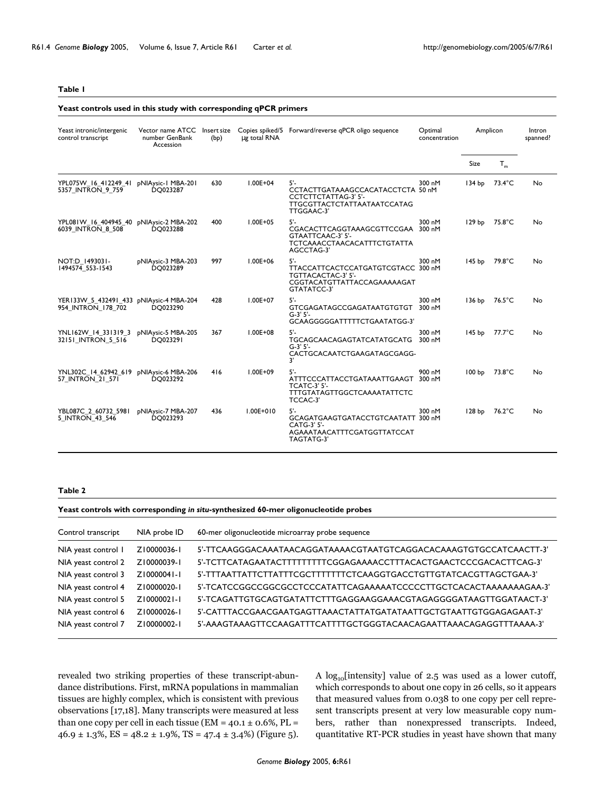#### <span id="page-3-0"></span>**Yeast controls used in this study with corresponding qPCR primers**

| Yeast intronic/intergenic<br>control transcript                    | Vector name ATCC<br>number GenBank<br>Accession | Insert size<br>(bp) | ug total RNA  | Copies spiked/5 Forward/reverse qPCR oligo sequence                                                                   | Optimal<br>concentration | Amplicon          |                  | Intron<br>spanned? |
|--------------------------------------------------------------------|-------------------------------------------------|---------------------|---------------|-----------------------------------------------------------------------------------------------------------------------|--------------------------|-------------------|------------------|--------------------|
|                                                                    |                                                 |                     |               |                                                                                                                       |                          | Size              | $T_m$            |                    |
| YPL075W 16 412249 41<br>5357 INTRON 9 759                          | <b>DNIAysic-1 MBA-201</b><br>DO023287           | 630                 | $1.00E + 04$  | $5'$ -<br>CCTACTTGATAAAGCCACATACCTCTA 50 nM<br>CCTCTTCTATTAG-3' 5'-<br>TTGCGTTACTCTATTAATAATCCATAG<br>TTGGAAC-3'      | 300 nM                   | 134 bp            | $73.4^{\circ}$ C | No                 |
| YPL081W 16 404945 40 pNIAysic-2 MBA-202<br>6039 INTRON 8 508       | <b>DQ023288</b>                                 | 400                 | $1.00E + 05$  | $5'$ -<br>CGACACTTCAGGTAAAGCGTTCCGAA 300 nM<br>GTAATTCAAC-3' 5'-<br><b>TCTCAAACCTAACACATTTCTGTATTA</b><br>AGCCTAG-3'  | 300 nM                   | 129 <sub>bp</sub> | 75.8°C           | No                 |
| NOT:D   493031-<br>1494574 553-1543                                | pNIAysic-3 MBA-203<br><b>DQ023289</b>           | 997                 | $1.00E + 06$  | $5'$ -<br>TTACCATTCACTCCATGATGTCGTACC 300 nM<br>TGTTACACTAC-3' 5'-<br>CGGTACATGTTATTACCAGAAAAAGAT<br>GTATATCC-3'      | 300 nM                   | 145 <sub>bp</sub> | 79.8°C           | No                 |
| YER133W 5 432491 433 pNIAysic-4 MBA-204<br>954 INTRON 178 702      | DQ023290                                        | 428                 | $1.00E + 07$  | $5'$ -<br>GTCGAGATAGCCGAGATAATGTGTGT 300 nM<br>$G-3'5'$<br>GCAAGGGGGATTTTTCTGAATATGG-3'                               | 300 nM                   | 136 bp            | 76.5°C           | No                 |
| YNLI62W 14 331319 3<br>32151 INTRON 5 516                          | pNIAysic-5 MBA-205<br>DO023291                  | 367                 | $1.00E + 08$  | $5'$ -<br>TGCAGCAACAGAGTATCATATGCATG<br>$G-3'5'$<br>CACTGCACAATCTGAAGATAGCGAGG-<br>3'                                 | 300 nM<br>300 nM         | 145 bp            | $77.7^{\circ}$ C | No                 |
| YNL302C 14 62942 619 pNIAysic-6 MBA-206<br><b>57 INTRON 21 571</b> | DO023292                                        | 416                 | $1.00E + 09$  | $5'$ -<br>ATTTCCCATTACCTGATAAATTGAAGT 300 nM<br><b>TCATC-3' 5'-</b><br><b>TTTGTATAGTTGGCTCAAAATATTCTC</b><br>TCCAC-3' | 900 nM                   | 100 bp            | 73.8°C           | No                 |
| YBL087C 2 60732 5981<br>5 INTRON 43 546                            | pNIAysic-7 MBA-207<br>DO023293                  | 436                 | $1.00E + 010$ | $5'$ -<br>GCAGATGAAGTGATACCTGTCAATATT 300 nM<br>CATG-3' 5'-<br>AGAAATAACATTTCGATGGTTATCCAT<br><b>TAGTATG-3'</b>       | 300 nM                   | 128 <sub>bp</sub> | 76.2°C           | No                 |

#### <span id="page-3-1"></span>**Table 2**

**Yeast controls with corresponding** *in situ***-synthesized 60-mer oligonucleotide probes**

| Control transcript  | NIA probe ID | 60-mer oligonucleotide microarray probe sequence                   |
|---------------------|--------------|--------------------------------------------------------------------|
| NIA yeast control I | Z10000036-1  | 5'-TTCAAGGGACAAATAACAGGATAAAACGTAATGTCAGGACACAAAGTGTGCCATCAACTT-3' |
| NIA yeast control 2 | Z10000039-1  | 5'-TCTTCATAGAATACTTTTTTTTCGGAGAAAACCTTTACACTGAACTCCCGACACTTCAG-3'  |
| NIA yeast control 3 | Z10000041-1  | 5'-TTTAATTATTCTTATTTCGCTTTTTTTCTCAAGGTGACCTGTTGTATCACGTTAGCTGAA-3' |
| NIA yeast control 4 | Z10000020-1  | 5'-TCATCCGGCCGGCGCCTCCCATATTCAGAAAAATCCCCCTTGCTCACACTAAAAAAAGAA-3' |
| NIA yeast control 5 | Z10000021-1  | 5'-TCAGATTGTGCAGTGATATTCTTTGAGGAAGGAAACGTAGAGGGGATAAGTTGGATAACT-3' |
| NIA yeast control 6 | Z10000026-1  | 5'-CATTTACCGAACGAATGAGTTAAACTATTATGATATAATTGCTGTAATTGTGGAGAGAAT-3' |
| NIA yeast control 7 | Z10000002-1  | 5'-AAAGTAAAGTTCCAAGATTTCATTTTGCTGGGTACAACAGAATTAAACAGAGGTTTAAAA-3' |

revealed two striking properties of these transcript-abundance distributions. First, mRNA populations in mammalian tissues are highly complex, which is consistent with previous observations [17,18]. Many transcripts were measured at less than one copy per cell in each tissue ( $EM = 40.1 \pm 0.6\%$ ,  $PL =$  $46.9 \pm 1.3\%$ , ES =  $48.2 \pm 1.9\%$ , TS =  $47.4 \pm 3.4\%$ ) (Figure 5).

A  $log_{10}$ [intensity] value of 2.5 was used as a lower cutoff, which corresponds to about one copy in 26 cells, so it appears that measured values from 0.038 to one copy per cell represent transcripts present at very low measurable copy numbers, rather than nonexpressed transcripts. Indeed, quantitative RT-PCR studies in yeast have shown that many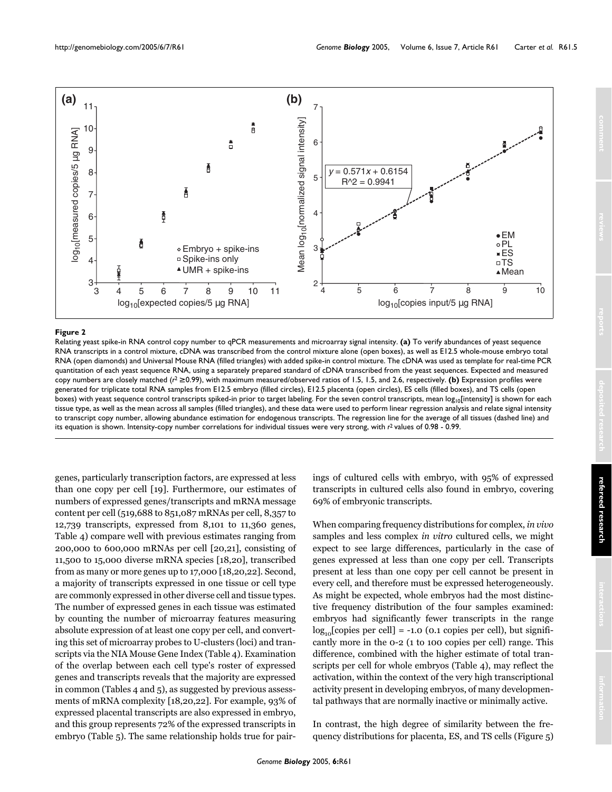

#### Relating yeast spike-in RNA control copy number to qPCR measurements and microarray signal intensity **Figure 2**

Relating yeast spike-in RNA control copy number to qPCR measurements and microarray signal intensity. **(a)** To verify abundances of yeast sequence RNA transcripts in a control mixture, cDNA was transcribed from the control mixture alone (open boxes), as well as E12.5 whole-mouse embryo total RNA (open diamonds) and Universal Mouse RNA (filled triangles) with added spike-in control mixture. The cDNA was used as template for real-time PCR quantitation of each yeast sequence RNA, using a separately prepared standard of cDNA transcribed from the yeast sequences. Expected and measured copy numbers are closely matched (*r*<sup>2</sup>≥ 0.99), with maximum measured/observed ratios of 1.5, 1.5, and 2.6, respectively. **(b)** Expression profiles were generated for triplicate total RNA samples from E12.5 embryo (filled circles), E12.5 placenta (open circles), ES cells (filled boxes), and TS cells (open boxes) with yeast sequence control transcripts spiked-in prior to target labeling. For the seven control transcripts, mean  $log_{10}[intensity]$  is shown for each tissue type, as well as the mean across all samples (filled triangles), and these data were used to perform linear regression analysis and relate signal intensity to transcript copy number, allowing abundance estimation for endogenous transcripts. The regression line for the average of all tissues (dashed line) and its equation is shown. Intensity-copy number correlations for individual tissues were very strong, with *r*2 values of 0.98 - 0.99.

genes, particularly transcription factors, are expressed at less than one copy per cell [19]. Furthermore, our estimates of numbers of expressed genes/transcripts and mRNA message content per cell (519,688 to 851,087 mRNAs per cell, 8,357 to 12,739 transcripts, expressed from 8,101 to 11,360 genes, Table [4\)](#page-8-0) compare well with previous estimates ranging from 200,000 to 600,000 mRNAs per cell [20,21], consisting of 11,500 to 15,000 diverse mRNA species [18,20], transcribed from as many or more genes up to 17,000 [18,20,22]. Second, a majority of transcripts expressed in one tissue or cell type are commonly expressed in other diverse cell and tissue types. The number of expressed genes in each tissue was estimated by counting the number of microarray features measuring absolute expression of at least one copy per cell, and converting this set of microarray probes to U-clusters (loci) and transcripts via the NIA Mouse Gene Index (Table [4](#page-8-0)). Examination of the overlap between each cell type's roster of expressed genes and transcripts reveals that the majority are expressed in common (Tables [4](#page-8-0) and [5\)](#page-9-0), as suggested by previous assessments of mRNA complexity [18,20,22]. For example, 93% of expressed placental transcripts are also expressed in embryo, and this group represents 72% of the expressed transcripts in embryo (Table [5](#page-9-0)). The same relationship holds true for pairings of cultured cells with embryo, with 95% of expressed transcripts in cultured cells also found in embryo, covering 69% of embryonic transcripts.

When comparing frequency distributions for complex, *in vivo* samples and less complex *in vitro* cultured cells, we might expect to see large differences, particularly in the case of genes expressed at less than one copy per cell. Transcripts present at less than one copy per cell cannot be present in every cell, and therefore must be expressed heterogeneously. As might be expected, whole embryos had the most distinctive frequency distribution of the four samples examined: embryos had significantly fewer transcripts in the range  $log_{10}[\text{copies per cell}] = -1.0$  (0.1 copies per cell), but significantly more in the 0-2 (1 to 100 copies per cell) range. This difference, combined with the higher estimate of total transcripts per cell for whole embryos (Table [4](#page-8-0)), may reflect the activation, within the context of the very high transcriptional activity present in developing embryos, of many developmental pathways that are normally inactive or minimally active.

In contrast, the high degree of similarity between the frequency distributions for placenta, ES, and TS cells (Figure 5)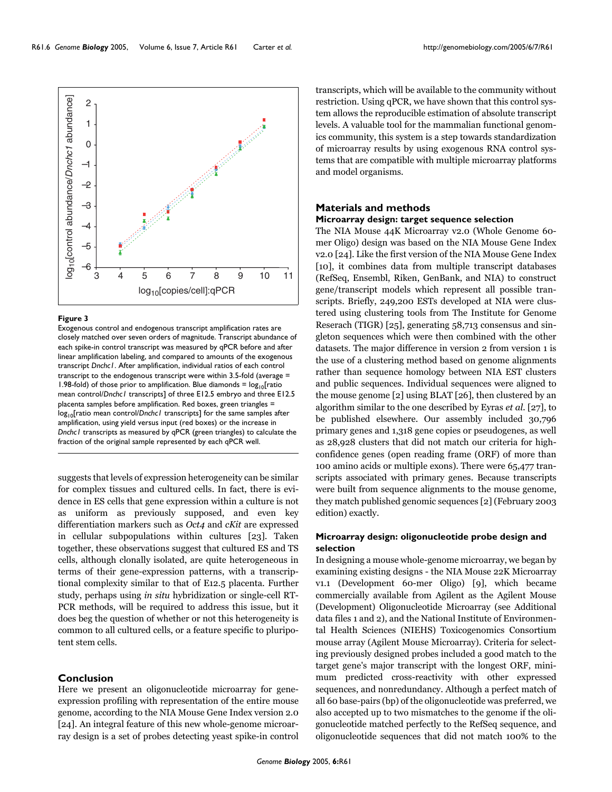R61.6 Genome **Biology 2005**, Volume 6, Issue 7, Article R61 Carter *et al.* http://genomebiology.com/2005/6/7/R61



#### Figure 3

Exogenous control and endogenous transcript amplification rates are closely matched over seven orders of magnitude. Transcript abundance of each spike-in control transcript was measured by qPCR before and after linear amplification labeling, and compared to amounts of the exogenous transcript *Dnchc1*. After amplification, individual ratios of each control transcript to the endogenous transcript were within 3.5-fold (average = 1.98-fold) of those prior to amplification. Blue diamonds =  $log_{10}[ratio]$ mean control/*Dnchc1* transcripts] of three E12.5 embryo and three E12.5 placenta samples before amplification. Red boxes, green triangles = log10[ratio mean control/*Dnchc1* transcripts] for the same samples after amplification, using yield versus input (red boxes) or the increase in *Dnchc1* transcripts as measured by qPCR (green triangles) to calculate the

suggests that levels of expression heterogeneity can be similar for complex tissues and cultured cells. In fact, there is evidence in ES cells that gene expression within a culture is not as uniform as previously supposed, and even key differentiation markers such as *Oct4* and *cKit* are expressed in cellular subpopulations within cultures [23]. Taken together, these observations suggest that cultured ES and TS cells, although clonally isolated, are quite heterogeneous in terms of their gene-expression patterns, with a transcriptional complexity similar to that of E12.5 placenta. Further study, perhaps using *in situ* hybridization or single-cell RT-PCR methods, will be required to address this issue, but it does beg the question of whether or not this heterogeneity is common to all cultured cells, or a feature specific to pluripotent stem cells.

#### **Conclusion**

Here we present an oligonucleotide microarray for geneexpression profiling with representation of the entire mouse genome, according to the NIA Mouse Gene Index version 2.0 [24]. An integral feature of this new whole-genome microarray design is a set of probes detecting yeast spike-in control

transcripts, which will be available to the community without restriction. Using qPCR, we have shown that this control system allows the reproducible estimation of absolute transcript levels. A valuable tool for the mammalian functional genomics community, this system is a step towards standardization of microarray results by using exogenous RNA control systems that are compatible with multiple microarray platforms and model organisms.

#### **Materials and methods**

#### **Microarray design: target sequence selection**

The NIA Mouse 44K Microarray v2.0 (Whole Genome 60 mer Oligo) design was based on the NIA Mouse Gene Index v2.0 [24]. Like the first version of the NIA Mouse Gene Index [10], it combines data from multiple transcript databases (RefSeq, Ensembl, Riken, GenBank, and NIA) to construct gene/transcript models which represent all possible transcripts. Briefly, 249,200 ESTs developed at NIA were clustered using clustering tools from The Institute for Genome Reserach (TIGR) [25], generating 58,713 consensus and singleton sequences which were then combined with the other datasets. The major difference in version 2 from version 1 is the use of a clustering method based on genome alignments rather than sequence homology between NIA EST clusters and public sequences. Individual sequences were aligned to the mouse genome [2] using BLAT [26], then clustered by an algorithm similar to the one described by Eyras *et al*. [27], to be published elsewhere. Our assembly included 30,796 primary genes and 1,318 gene copies or pseudogenes, as well as 28,928 clusters that did not match our criteria for highconfidence genes (open reading frame (ORF) of more than 100 amino acids or multiple exons). There were 65,477 transcripts associated with primary genes. Because transcripts were built from sequence alignments to the mouse genome, they match published genomic sequences [2] (February 2003 edition) exactly.

#### **Microarray design: oligonucleotide probe design and selection**

In designing a mouse whole-genome microarray, we began by examining existing designs - the NIA Mouse 22K Microarray v1.1 (Development 60-mer Oligo) [9], which became commercially available from Agilent as the Agilent Mouse (Development) Oligonucleotide Microarray (see Additional data files 1 and 2), and the National Institute of Environmental Health Sciences (NIEHS) Toxicogenomics Consortium mouse array (Agilent Mouse Microarray). Criteria for selecting previously designed probes included a good match to the target gene's major transcript with the longest ORF, minimum predicted cross-reactivity with other expressed sequences, and nonredundancy. Although a perfect match of all 60 base-pairs (bp) of the oligonucleotide was preferred, we also accepted up to two mismatches to the genome if the oligonucleotide matched perfectly to the RefSeq sequence, and oligonucleotide sequences that did not match 100% to the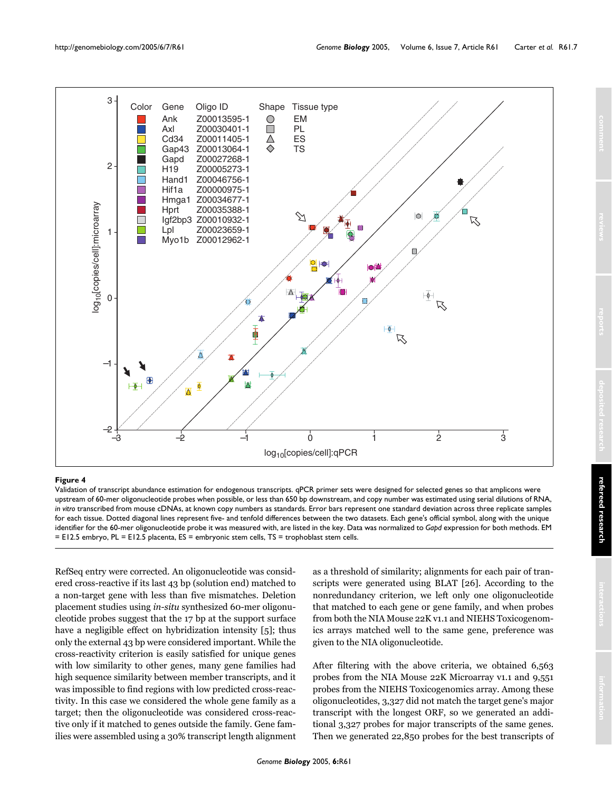

#### **Figure 4**

Validation of transcript abundance estimation for endogenous transcripts. qPCR primer sets were designed for selected genes so that amplicons were upstream of 60-mer oligonucleotide probes when possible, or less than 650 bp downstream, and copy number was estimated using serial dilutions of RNA, *in vitro* transcribed from mouse cDNAs, at known copy numbers as standards. Error bars represent one standard deviation across three replicate samples for each tissue. Dotted diagonal lines represent five- and tenfold differences between the two datasets. Each gene's official symbol, along with the unique identifier for the 60-mer oligonucleotide probe it was measured with, are listed in the key. Data was normalized to *Gapd* expression for both methods. EM = E12.5 embryo, PL = E12.5 placenta, ES = embryonic stem cells, TS = trophoblast stem cells.

RefSeq entry were corrected. An oligonucleotide was considered cross-reactive if its last 43 bp (solution end) matched to a non-target gene with less than five mismatches. Deletion placement studies using *in-situ* synthesized 60-mer oligonucleotide probes suggest that the 17 bp at the support surface have a negligible effect on hybridization intensity [5]; thus only the external 43 bp were considered important. While the cross-reactivity criterion is easily satisfied for unique genes with low similarity to other genes, many gene families had high sequence similarity between member transcripts, and it was impossible to find regions with low predicted cross-reactivity. In this case we considered the whole gene family as a target; then the oligonucleotide was considered cross-reactive only if it matched to genes outside the family. Gene families were assembled using a 30% transcript length alignment as a threshold of similarity; alignments for each pair of transcripts were generated using BLAT [26]. According to the nonredundancy criterion, we left only one oligonucleotide that matched to each gene or gene family, and when probes from both the NIA Mouse 22K v1.1 and NIEHS Toxicogenomics arrays matched well to the same gene, preference was given to the NIA oligonucleotide.

After filtering with the above criteria, we obtained 6,563 probes from the NIA Mouse 22K Microarray v1.1 and 9,551 probes from the NIEHS Toxicogenomics array. Among these oligonucleotides, 3,327 did not match the target gene's major transcript with the longest ORF, so we generated an additional 3,327 probes for major transcripts of the same genes. Then we generated 22,850 probes for the best transcripts of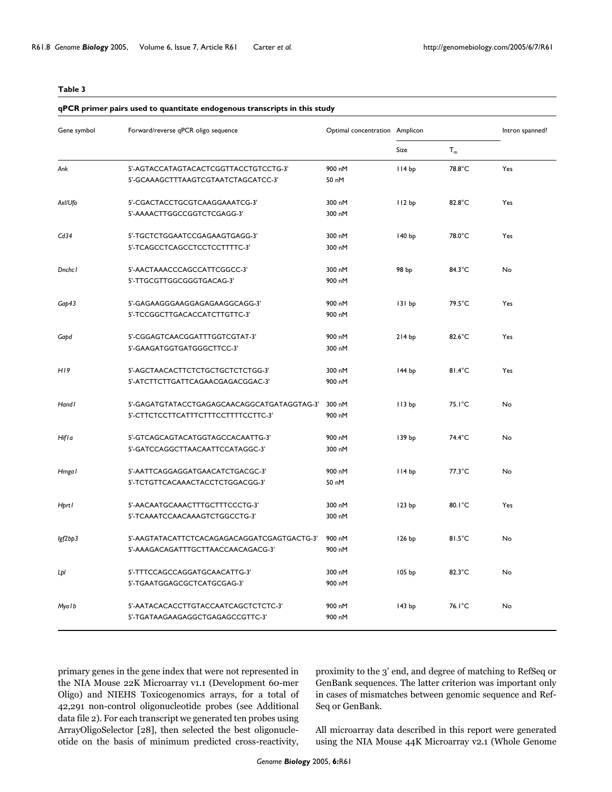#### <span id="page-7-0"></span>**qPCR primer pairs used to quantitate endogenous transcripts in this study**

| Gene symbol   | Forward/reverse qPCR oligo sequence         | Optimal concentration Amplicon |                   |                  | Intron spanned? |  |
|---------------|---------------------------------------------|--------------------------------|-------------------|------------------|-----------------|--|
|               |                                             |                                | Size              | $T_{m}$          |                 |  |
| Ank           | 5'-AGTACCATAGTACACTCGGTTACCTGTCCTG-3'       | 900 nM                         | II4 bp            | 78.8°C           | Yes             |  |
|               | 5'-GCAAAGCTTTAAGTCGTAATCTAGCATCC-3'         | 50 nM                          |                   |                  |                 |  |
| Axl/Ufo       | 5'-CGACTACCTGCGTCAAGGAAATCG-3'              | 300 nM                         | 112bp             | 82.8°C           | Yes             |  |
|               | 5'-AAAACTTGGCCGGTCTCGAGG-3'                 | 300 nM                         |                   |                  |                 |  |
| Cd34          | 5'-TGCTCTGGAATCCGAGAAGTGAGG-3'              | 300 nM                         | 140 bp            | 78.0°C           | Yes             |  |
|               | 5'-TCAGCCTCAGCCTCCTCCTTTTC-3'               | 300 nM                         |                   |                  |                 |  |
| <b>Dnchc1</b> | 5'-AACTAAACCCAGCCATTCGGCC-3'                | 300 nM                         | 98 bp             | 84.3°C           | No              |  |
|               | 5'-TTGCGTTGGCGGGTGACAG-3'                   | 900 nM                         |                   |                  |                 |  |
| Gap43         | 5'-GAGAAGGGAAGGAGAGAAGGCAGG-3'              | 900 nM                         | 131 bp            | 79.5°C           | Yes             |  |
|               | 5'-TCCGGCTTGACACCATCTTGTTC-3'               | 900 nM                         |                   |                  |                 |  |
| Gapd          | 5'-CGGAGTCAACGGATTTGGTCGTAT-3'              | 900 nM                         | 214bp             | $82.6^{\circ}$ C | Yes             |  |
|               | 5'-GAAGATGGTGATGGGCTTCC-3'                  | 300 nM                         |                   |                  |                 |  |
| H19           | 5'-AGCTAACACTTCTCTGCTGCTCTCTGG-3'           | 300 nM                         | 144 bp            | 81.4°C           | Yes             |  |
|               | 5'-ATCTTCTTGATTCAGAACGAGACGGAC-3'           | 900 nM                         |                   |                  |                 |  |
| Handl         | 5'-GAGATGTATACCTGAGAGCAACAGGCATGATAGGTAG-3' | 300 nM                         | II3 bp            | $75.1^{\circ}$ C | No              |  |
|               | 5'-CTTCTCCTTCATTTCTTTCCTTTTCCTTC-3'         | 900 nM                         |                   |                  |                 |  |
| Hifla         | 5'-GTCAGCAGTACATGGTAGCCACAATTG-3'           | 900 nM                         | 139 bp            | 74.4°C           | No              |  |
|               | 5'-GATCCAGGCTTAACAATTCCATAGGC-3'            | 300 nM                         |                   |                  |                 |  |
| Hmga l        | 5'-AATTCAGGAGGATGAACATCTGACGC-3'            | 900 nM                         | II4 bp            | $77.3^{\circ}$ C | No              |  |
|               | 5'-TCTGTTCACAAACTACCTCTGGACGG-3'            | 50 nM                          |                   |                  |                 |  |
| <b>Hprt1</b>  | 5'-AACAATGCAAACTTTGCTTTCCCTG-3'             | 300 nM                         | 123 bp            | $80.1^{\circ}$ C | Yes             |  |
|               | 5'-TCAAATCCAACAAAGTCTGGCCTG-3'              | 300 nM                         |                   |                  |                 |  |
| lgf2bp3       | 5'-AAGTATACATTCTCACAGAGACAGGATCGAGTGACTG-3' | 900 nM                         | 126 bp            | 81.5°C           | No              |  |
|               | 5'-AAAGACAGATTTGCTTAACCAACAGACG-3'          | 900 nM                         |                   |                  |                 |  |
| Lpl           | 5'-TTTCCAGCCAGGATGCAACATTG-3'               | 300 nM                         | 105 <sub>bp</sub> | $82.3^{\circ}$ C | No              |  |
|               | 5'-TGAATGGAGCGCTCATGCGAG-3'                 | 900 nM                         |                   |                  |                 |  |
| Myolb         | 5'-AATACACACCTTGTACCAATCAGCTCTCTC-3'        | 900 nM                         | 143 bp            | 76.1°C           | No              |  |
|               | 5'-TGATAAGAAGAGGCTGAGAGCCGTTC-3'            | 900 nM                         |                   |                  |                 |  |

primary genes in the gene index that were not represented in the NIA Mouse 22K Microarray v1.1 (Development 60-mer Oligo) and NIEHS Toxicogenomics arrays, for a total of 42,291 non-control oligonucleotide probes (see Additional data file 2). For each transcript we generated ten probes using ArrayOligoSelector [28], then selected the best oligonucleotide on the basis of minimum predicted cross-reactivity, proximity to the 3' end, and degree of matching to RefSeq or GenBank sequences. The latter criterion was important only in cases of mismatches between genomic sequence and Ref-Seq or GenBank.

All microarray data described in this report were generated using the NIA Mouse 44K Microarray v2.1 (Whole Genome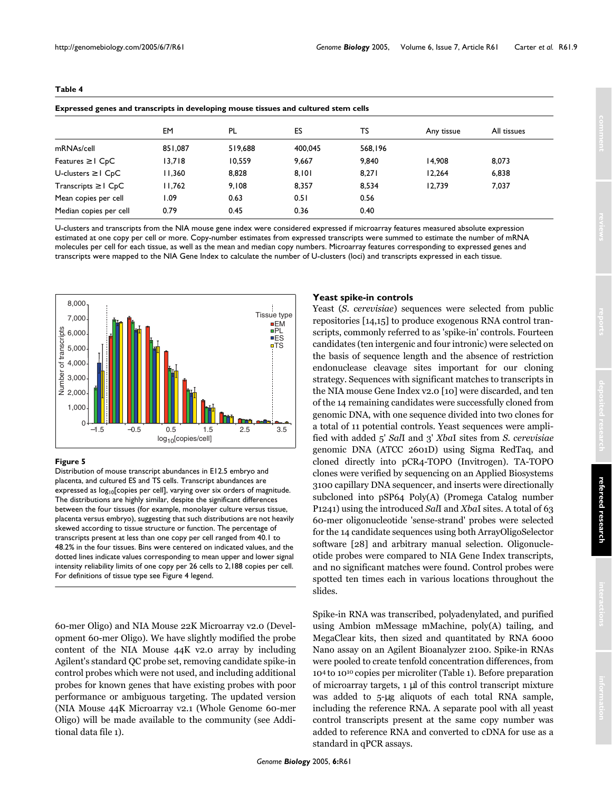| Expressed genes and transcripts in developing mouse tissues and cultured stem cells |         |         |         |         |            |             |  |
|-------------------------------------------------------------------------------------|---------|---------|---------|---------|------------|-------------|--|
|                                                                                     | EM      | PL      | ES      | TS      | Any tissue | All tissues |  |
| mRNAs/cell                                                                          | 851.087 | 519.688 | 400.045 | 568.196 |            |             |  |
| Features $\geq 1$ CpC                                                               | 13.718  | 10.559  | 9.667   | 9.840   | 14.908     | 8.073       |  |
| U-clusters $\geq$ I C <sub>p</sub> C                                                | 11.360  | 8.828   | 8.101   | 8.271   | 12.264     | 6.838       |  |
| Transcripts $\geq 1$ C <sub>p</sub> C                                               | 11,762  | 9.108   | 8.357   | 8.534   | 12.739     | 7,037       |  |
| Mean copies per cell                                                                | l.09    | 0.63    | 0.51    | 0.56    |            |             |  |
| Median copies per cell                                                              | 0.79    | 0.45    | 0.36    | 0.40    |            |             |  |

<span id="page-8-0"></span>**Expressed genes and transcripts in developing mouse tissues and cultured stem cells**

U-clusters and transcripts from the NIA mouse gene index were considered expressed if microarray features measured absolute expression estimated at one copy per cell or more. Copy-number estimates from expressed transcripts were summed to estimate the number of mRNA molecules per cell for each tissue, as well as the mean and median copy numbers. Microarray features corresponding to expressed genes and transcripts were mapped to the NIA Gene Index to calculate the number of U-clusters (loci) and transcripts expressed in each tissue.



#### **Figure 5**

Distribution of mouse transcript abundances in E12.5 embryo and placenta, and cultured ES and TS cells. Transcript abundances are expressed as  $log_{10}$ [copies per cell], varying over six orders of magnitude. The distributions are highly similar, despite the significant differences between the four tissues (for example, monolayer culture versus tissue, placenta versus embryo), suggesting that such distributions are not heavily skewed according to tissue structure or function. The percentage of transcripts present at less than one copy per cell ranged from 40.1 to 48.2% in the four tissues. Bins were centered on indicated values, and the dotted lines indicate values corresponding to mean upper and lower signal intensity reliability limits of one copy per 26 cells to 2,188 copies per cell. For definitions of tissue type see Figure 4 legend.

60-mer Oligo) and NIA Mouse 22K Microarray v2.0 (Development 60-mer Oligo). We have slightly modified the probe content of the NIA Mouse 44K v2.0 array by including Agilent's standard QC probe set, removing candidate spike-in control probes which were not used, and including additional probes for known genes that have existing probes with poor performance or ambiguous targeting. The updated version (NIA Mouse 44K Microarray v2.1 (Whole Genome 60-mer Oligo) will be made available to the community (see Additional data file 1).

#### **Yeast spike-in controls**

Yeast (*S. cerevisiae*) sequences were selected from public repositories [14,15] to produce exogenous RNA control transcripts, commonly referred to as 'spike-in' controls. Fourteen candidates (ten intergenic and four intronic) were selected on the basis of sequence length and the absence of restriction endonuclease cleavage sites important for our cloning strategy. Sequences with significant matches to transcripts in the NIA mouse Gene Index v2.0 [10] were discarded, and ten of the 14 remaining candidates were successfully cloned from genomic DNA, with one sequence divided into two clones for a total of 11 potential controls. Yeast sequences were amplified with added 5' *Sal*I and 3' *Xba*I sites from *S. cerevisiae* genomic DNA (ATCC 2601D) using Sigma RedTaq, and cloned directly into pCR4-TOPO (Invitrogen). TA-TOPO clones were verified by sequencing on an Applied Biosystems 3100 capillary DNA sequencer, and inserts were directionally subcloned into pSP64 Poly(A) (Promega Catalog number P1241) using the introduced *Sal*I and *Xba*I sites. A total of 63 60-mer oligonucleotide 'sense-strand' probes were selected for the 14 candidate sequences using both ArrayOligoSelector software [28] and arbitrary manual selection. Oligonucleotide probes were compared to NIA Gene Index transcripts, and no significant matches were found. Control probes were spotted ten times each in various locations throughout the slides.

Spike-in RNA was transcribed, polyadenylated, and purified using Ambion mMessage mMachine, poly(A) tailing, and MegaClear kits, then sized and quantitated by RNA 6000 Nano assay on an Agilent Bioanalyzer 2100. Spike-in RNAs were pooled to create tenfold concentration differences, from 104 to 1010 copies per microliter (Table [1\)](#page-3-0). Before preparation of microarray targets, 1 µl of this control transcript mixture was added to 5-µg aliquots of each total RNA sample, including the reference RNA. A separate pool with all yeast control transcripts present at the same copy number was added to reference RNA and converted to cDNA for use as a standard in qPCR assays.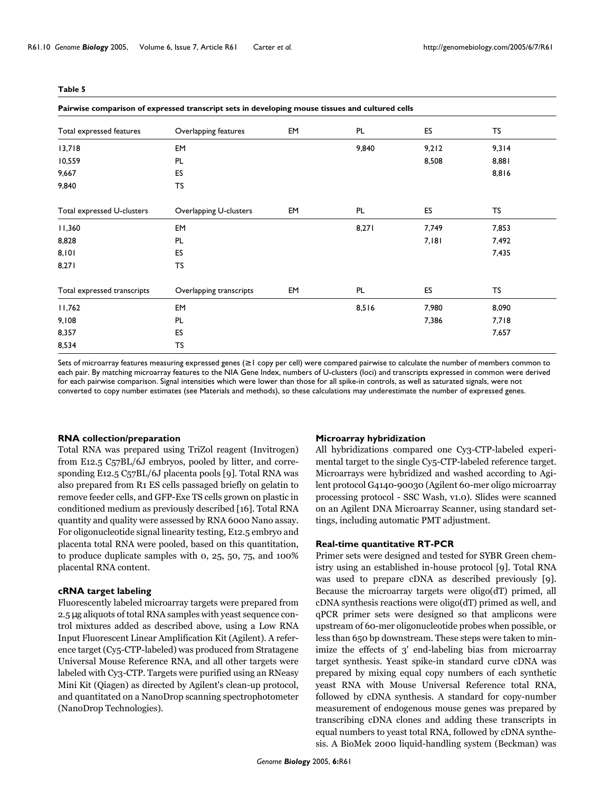<span id="page-9-0"></span>

| Pairwise comparison of expressed transcript sets in developing mouse tissues and cultured cells |                         |    |       |       |       |  |  |
|-------------------------------------------------------------------------------------------------|-------------------------|----|-------|-------|-------|--|--|
| Total expressed features                                                                        | Overlapping features    | EM | PL    | ES    | TS    |  |  |
| 13,718                                                                                          | EM                      |    | 9,840 | 9,212 | 9,314 |  |  |
| 10,559                                                                                          | PL                      |    |       | 8,508 | 8,881 |  |  |
| 9,667                                                                                           | ES                      |    |       |       | 8,816 |  |  |
| 9,840                                                                                           | TS                      |    |       |       |       |  |  |
| Total expressed U-clusters                                                                      | Overlapping U-clusters  | EM | PL    | ES    | TS    |  |  |
| 11,360                                                                                          | EM                      |    | 8,271 | 7,749 | 7,853 |  |  |
| 8,828                                                                                           | PL                      |    |       | 7,181 | 7,492 |  |  |
| 8,101                                                                                           | ES                      |    |       |       | 7,435 |  |  |
| 8,271                                                                                           | TS                      |    |       |       |       |  |  |
| Total expressed transcripts                                                                     | Overlapping transcripts | EM | PL    | ES    | TS    |  |  |
| 11,762                                                                                          | EM                      |    | 8,516 | 7,980 | 8,090 |  |  |
| 9,108                                                                                           | PL                      |    |       | 7,386 | 7,718 |  |  |
| 8,357                                                                                           | ES                      |    |       |       | 7,657 |  |  |
| 8,534                                                                                           | TS                      |    |       |       |       |  |  |

Sets of microarray features measuring expressed genes (≥ 1 copy per cell) were compared pairwise to calculate the number of members common to each pair. By matching microarray features to the NIA Gene Index, numbers of U-clusters (loci) and transcripts expressed in common were derived for each pairwise comparison. Signal intensities which were lower than those for all spike-in controls, as well as saturated signals, were not

converted to copy number estimates (see Materials and methods), so these calculations may underestimate the number of expressed genes.

#### **RNA collection/preparation**

Total RNA was prepared using TriZol reagent (Invitrogen) from E12.5 C57BL/6J embryos, pooled by litter, and corresponding E12.5 C57BL/6J placenta pools [9]. Total RNA was also prepared from R1 ES cells passaged briefly on gelatin to remove feeder cells, and GFP-Exe TS cells grown on plastic in conditioned medium as previously described [16]. Total RNA quantity and quality were assessed by RNA 6000 Nano assay. For oligonucleotide signal linearity testing, E12.5 embryo and placenta total RNA were pooled, based on this quantitation, to produce duplicate samples with 0, 25, 50, 75, and 100% placental RNA content.

#### **cRNA target labeling**

Fluorescently labeled microarray targets were prepared from 2.5 µg aliquots of total RNA samples with yeast sequence control mixtures added as described above, using a Low RNA Input Fluorescent Linear Amplification Kit (Agilent). A reference target (Cy5-CTP-labeled) was produced from Stratagene Universal Mouse Reference RNA, and all other targets were labeled with Cy3-CTP. Targets were purified using an RNeasy Mini Kit (Qiagen) as directed by Agilent's clean-up protocol, and quantitated on a NanoDrop scanning spectrophotometer (NanoDrop Technologies).

#### **Microarray hybridization**

All hybridizations compared one Cy3-CTP-labeled experimental target to the single Cy5-CTP-labeled reference target. Microarrays were hybridized and washed according to Agilent protocol G4140-90030 (Agilent 60-mer oligo microarray processing protocol - SSC Wash, v1.0)*.* Slides were scanned on an Agilent DNA Microarray Scanner, using standard settings, including automatic PMT adjustment.

#### **Real-time quantitative RT-PCR**

Primer sets were designed and tested for SYBR Green chemistry using an established in-house protocol [9]. Total RNA was used to prepare cDNA as described previously [9]. Because the microarray targets were oligo(dT) primed, all cDNA synthesis reactions were oligo(dT) primed as well, and qPCR primer sets were designed so that amplicons were upstream of 60-mer oligonucleotide probes when possible, or less than 650 bp downstream. These steps were taken to minimize the effects of 3' end-labeling bias from microarray target synthesis. Yeast spike-in standard curve cDNA was prepared by mixing equal copy numbers of each synthetic yeast RNA with Mouse Universal Reference total RNA, followed by cDNA synthesis. A standard for copy-number measurement of endogenous mouse genes was prepared by transcribing cDNA clones and adding these transcripts in equal numbers to yeast total RNA, followed by cDNA synthesis. A BioMek 2000 liquid-handling system (Beckman) was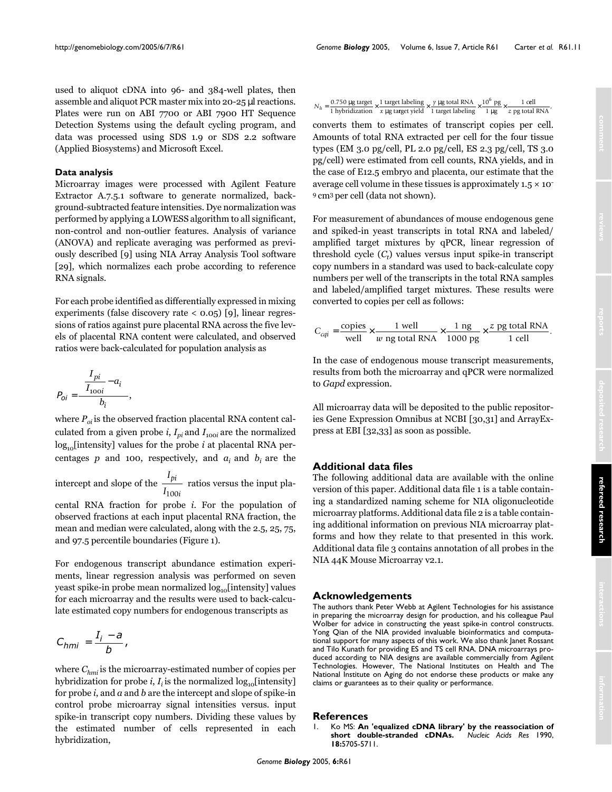used to aliquot cDNA into 96- and 384-well plates, then assemble and aliquot PCR master mix into 20-25 µl reactions. Plates were run on ABI 7700 or ABI 7900 HT Sequence Detection Systems using the default cycling program, and data was processed using SDS 1.9 or SDS 2.2 software (Applied Biosystems) and Microsoft Excel.

#### **Data analysis**

Microarray images were processed with Agilent Feature Extractor A.7.5.1 software to generate normalized, background-subtracted feature intensities. Dye normalization was performed by applying a LOWESS algorithm to all significant, non-control and non-outlier features. Analysis of variance (ANOVA) and replicate averaging was performed as previously described [9] using NIA Array Analysis Tool software [29], which normalizes each probe according to reference RNA signals.

For each probe identified as differentially expressed in mixing experiments (false discovery rate < 0.05) [9], linear regressions of ratios against pure placental RNA across the five levels of placental RNA content were calculated, and observed ratios were back-calculated for population analysis as

$$
P_{oi} = \frac{\left(\frac{I_{pi}}{I_{100i}} - a_i\right)}{b_i},
$$

where  $P_{oi}$  is the observed fraction placental RNA content calculated from a given probe *i*,  $I_{pi}$  and  $I_{100i}$  are the normalized  $log_{10}$ [intensity] values for the probe *i* at placental RNA percentages  $p$  and 100, respectively, and  $a_i$  and  $b_i$  are the

intercept and slope of the  $\frac{I_{pi}}{I}$  ratios versus the input pla-*I pi* 100*i*

cental RNA fraction for probe *i.* For the population of observed fractions at each input placental RNA fraction, the mean and median were calculated, along with the 2.5, 25, 75, and 97.5 percentile boundaries (Figure [1\)](#page-2-0).

For endogenous transcript abundance estimation experiments, linear regression analysis was performed on seven yeast spike-in probe mean normalized  $log_{10}$ [intensity] values for each microarray and the results were used to back-calculate estimated copy numbers for endogenous transcripts as

$$
C_{hmi}=\frac{I_i-a}{b},
$$

where  $C_{hmi}$  is the microarray-estimated number of copies per hybridization for probe *i*,  $I_i$  is the normalized log<sub>10</sub>[intensity] for probe *i*, and *a* and *b* are the intercept and slope of spike-in control probe microarray signal intensities versus. input spike-in transcript copy numbers. Dividing these values by the estimated number of cells represented in each hybridization,

|  | $N_h = \frac{0.750 \text{ µg target}}{1 \text{ target}} \times \frac{1 \text{ target labeling}}{1 \text{ weight}} \times \frac{y \text{ µg total RNA}}{1 \text{ total}} \times \frac{10^6 \text{ pg}}{1 \text{ rad}} \times$ |  | 1 cell |
|--|------------------------------------------------------------------------------------------------------------------------------------------------------------------------------------------------------------------------------|--|--------|
|  | 1 hybridization $x \mu g$ target yield 1 target labeling 1 $\mu g$ $z$ pg total RNA                                                                                                                                          |  |        |

converts them to estimates of transcript copies per cell. Amounts of total RNA extracted per cell for the four tissue types (EM 3.0 pg/cell, PL 2.0 pg/cell, ES 2.3 pg/cell, TS 3.0 pg/cell) were estimated from cell counts, RNA yields, and in the case of E12.5 embryo and placenta, our estimate that the average cell volume in these tissues is approximately  $1.5 \times 10^{-7}$ 9 cm3 per cell (data not shown).

For measurement of abundances of mouse endogenous gene and spiked-in yeast transcripts in total RNA and labeled/ amplified target mixtures by qPCR, linear regression of threshold cycle (*C*<sub>t</sub>) values versus input spike-in transcript copy numbers in a standard was used to back-calculate copy numbers per well of the transcripts in the total RNA samples and labeled/amplified target mixtures. These results were converted to copies per cell as follows:

$$
C_{cqi} = \frac{\text{copies}}{\text{well}} \times \frac{1 \text{ well}}{w \text{ ng total RNA}} \times \frac{1 \text{ ng}}{1000 \text{ pg}} \times \frac{z \text{ pg total RNA}}{1 \text{ cell}}.
$$

In the case of endogenous mouse transcript measurements, results from both the microarray and qPCR were normalized to *Gapd* expression.

All microarray data will be deposited to the public repositories Gene Expression Omnibus at NCBI [30,31] and ArrayExpress at EBI [32,33] as soon as possible.

#### **Additional data files**

The following additional data are available with the online version of this paper. Additional data file 1 is a table containing a standardized naming scheme for NIA oligonucleotide microarray platforms. Additional data file 2 is a table containing additional information on previous NIA microarray platforms and how they relate to that presented in this work. Additional data file 3 contains annotation of all probes in the NIA 44K Mouse Microarray v2.1.

#### **Acknowledgements**

The authors thank Peter Webb at Agilent Technologies for his assistance in preparing the microarray design for production, and his colleague Paul Wolber for advice in constructing the yeast spike-in control constructs. Yong Qian of the NIA provided invaluable bioinformatics and computational support for many aspects of this work. We also thank Janet Rossant and Tilo Kunath for providing ES and TS cell RNA. DNA microarrays produced according to NIA designs are available commercially from Agilent Technologies. However, The National Institutes on Health and The National Institute on Aging do not endorse these products or make any claims or guarantees as to their quality or performance.

#### **References**

1. Ko MS: **[An 'equalized cDNA library' by the reassociation of](http://www.ncbi.nlm.nih.gov/entrez/query.fcgi?cmd=Retrieve&db=PubMed&dopt=Abstract&list_uids=2216762)** [short double-stranded cDNAs.](http://www.ncbi.nlm.nih.gov/entrez/query.fcgi?cmd=Retrieve&db=PubMed&dopt=Abstract&list_uids=2216762) **18:**5705-5711.